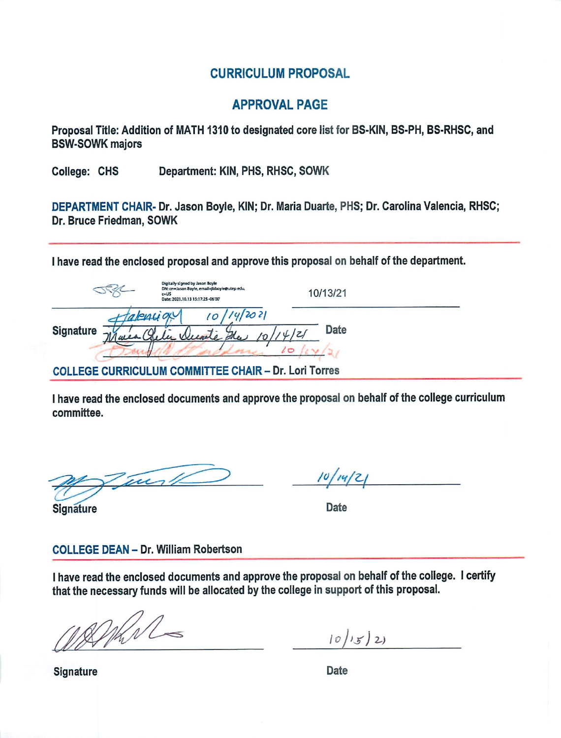## **CURRICULUM PROPOSAL**

### **APPROVAL PAGE**

Proposal Title: Addition of MATH 1310 to designated core list for BS-KIN, BS-PH, BS-RHSC, and **BSW-SOWK majors** 

Department: KIN, PHS, RHSC, SOWK College: CHS

DEPARTMENT CHAIR- Dr. Jason Boyle, KIN; Dr. Maria Duarte, PHS; Dr. Carolina Valencia, RHSC; Dr. Bruce Friedman, SOWK

I have read the enclosed proposal and approve this proposal on behalf of the department.

|                                                             | Digitally signed by Jason Boyle<br>DN: cn=Jason Boyle, email=jbboyle@utep edu,<br>$c = US$<br>Date: 2021.10.13 15:17:25 - 06'00" | 10/13/21 |  |
|-------------------------------------------------------------|----------------------------------------------------------------------------------------------------------------------------------|----------|--|
| Malencion<br><b>Signature</b>                               | 42021<br>la Wunte The                                                                                                            | Date     |  |
| <b>COLLEGE CURRICULUM COMMITTEE CHAIR - Dr. Lori Torres</b> |                                                                                                                                  |          |  |

I have read the enclosed documents and approve the proposal on behalf of the college curriculum committee.

Twith

 $10/14/2$ 

**Signature** 

Date

#### **COLLEGE DEAN - Dr. William Robertson**

I have read the enclosed documents and approve the proposal on behalf of the college. I certify that the necessary funds will be allocated by the college in support of this proposal.

DIKN

 $10/15/2$ 

Date

**Signature**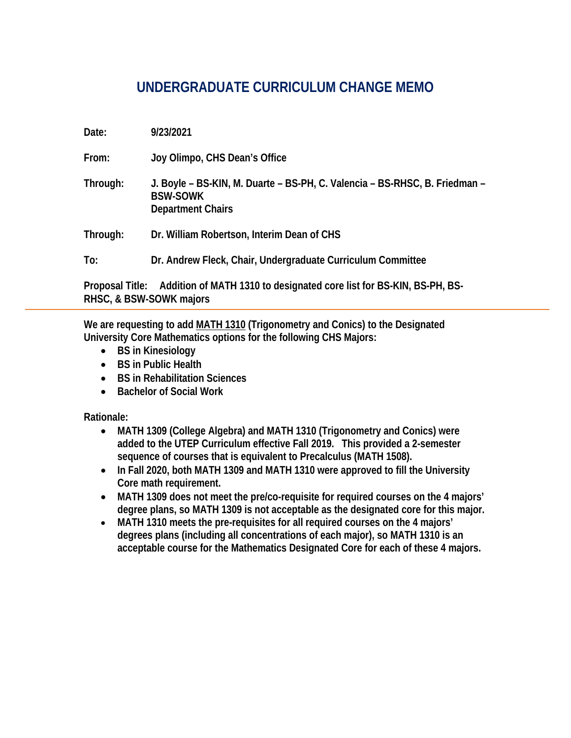# **UNDERGRADUATE CURRICULUM CHANGE MEMO**

| Date:    | 9/23/2021                                                                                                                 |
|----------|---------------------------------------------------------------------------------------------------------------------------|
| From:    | Joy Olimpo, CHS Dean's Office                                                                                             |
| Through: | J. Boyle - BS-KIN, M. Duarte - BS-PH, C. Valencia - BS-RHSC, B. Friedman -<br><b>BSW-SOWK</b><br><b>Department Chairs</b> |
| Through: | Dr. William Robertson, Interim Dean of CHS                                                                                |
| To:      | Dr. Andrew Fleck, Chair, Undergraduate Curriculum Committee                                                               |
|          | A J PP. CAA TIL 4940 L. . L. . L. P. L. C. . DO IZIAL DO DIL.                                                             |

**Proposal Title: Addition of MATH 1310 to designated core list for BS-KIN, BS-PH, BS-RHSC, & BSW-SOWK majors** 

**We are requesting to add MATH 1310 (Trigonometry and Conics) to the Designated University Core Mathematics options for the following CHS Majors:** 

- **BS in Kinesiology**
- **BS in Public Health**
- **BS in Rehabilitation Sciences**
- **Bachelor of Social Work**

**Rationale:** 

- **MATH 1309 (College Algebra) and MATH 1310 (Trigonometry and Conics) were added to the UTEP Curriculum effective Fall 2019. This provided a 2-semester sequence of courses that is equivalent to Precalculus (MATH 1508).**
- **In Fall 2020, both MATH 1309 and MATH 1310 were approved to fill the University Core math requirement.**
- **MATH 1309 does not meet the pre/co-requisite for required courses on the 4 majors' degree plans, so MATH 1309 is not acceptable as the designated core for this major.**
- **MATH 1310 meets the pre-requisites for all required courses on the 4 majors' degrees plans (including all concentrations of each major), so MATH 1310 is an acceptable course for the Mathematics Designated Core for each of these 4 majors.**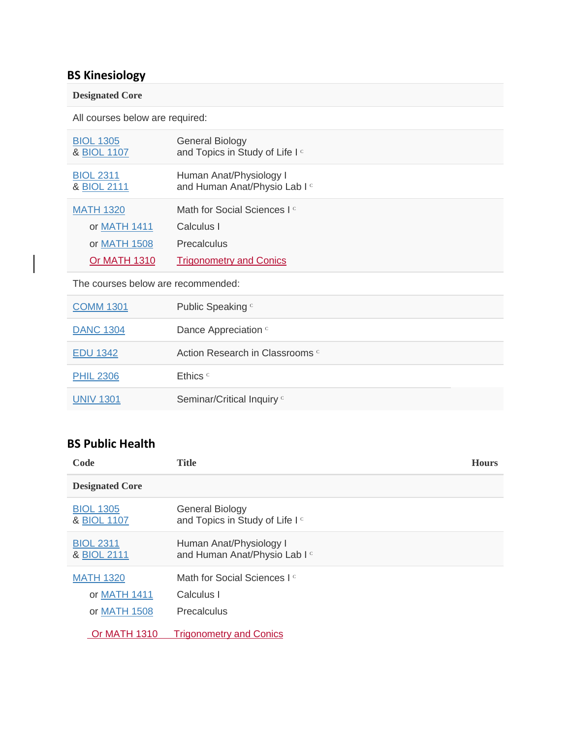# **BS Kinesiology**

#### **Designated Core**

All courses below are required:

| <b>BIOL 1305</b><br>& BIOL 1107 | <b>General Biology</b><br>and Topics in Study of Life I <sup>c</sup> |
|---------------------------------|----------------------------------------------------------------------|
| <b>BIOL 2311</b><br>& BIOL 2111 | Human Anat/Physiology I<br>and Human Anat/Physio Lab I c             |
| <b>MATH 1320</b>                | Math for Social Sciences I <sup>c</sup>                              |
| or MATH 1411                    | Calculus I                                                           |
| or MATH 1508                    | Precalculus                                                          |
| Or MATH 1310                    | <b>Trigonometry and Conics</b>                                       |

The courses below are recommended:

| <b>COMM 1301</b> | Public Speaking c                          |
|------------------|--------------------------------------------|
| <b>DANC 1304</b> | Dance Appreciation c                       |
| <b>EDU 1342</b>  | Action Research in Classrooms <sup>c</sup> |
| <b>PHIL 2306</b> | Ethics <sup>c</sup>                        |
| <b>UNIV 1301</b> | Seminar/Critical Inquiry <sup>c</sup>      |

# **BS Public Health**

| Code                            | <b>Title</b>                                                         | <b>Hours</b> |
|---------------------------------|----------------------------------------------------------------------|--------------|
| <b>Designated Core</b>          |                                                                      |              |
| <b>BIOL 1305</b><br>& BIOL 1107 | <b>General Biology</b><br>and Topics in Study of Life I <sup>c</sup> |              |
| <b>BIOL 2311</b><br>& BIOL 2111 | Human Anat/Physiology I<br>and Human Anat/Physio Lab I c             |              |
| <b>MATH 1320</b>                | Math for Social Sciences I <sup>c</sup>                              |              |
| or MATH 1411                    | Calculus I                                                           |              |
| or MATH 1508                    | Precalculus                                                          |              |
| <b>Or MATH 1310</b>             | <b>Trigonometry and Conics</b>                                       |              |